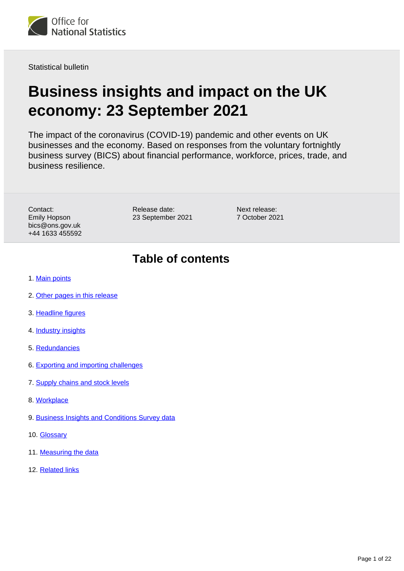

Statistical bulletin

# **Business insights and impact on the UK economy: 23 September 2021**

The impact of the coronavirus (COVID-19) pandemic and other events on UK businesses and the economy. Based on responses from the voluntary fortnightly business survey (BICS) about financial performance, workforce, prices, trade, and business resilience.

Contact: Emily Hopson bics@ons.gov.uk +44 1633 455592 Release date: 23 September 2021

Next release: 7 October 2021

## **Table of contents**

- 1. [Main points](#page-1-0)
- 2. [Other pages in this release](#page-1-1)
- 3. [Headline figures](#page-2-0)
- 4. **[Industry insights](#page-6-0)**
- 5. [Redundancies](#page-12-0)
- 6. [Exporting and importing challenges](#page-12-1)
- 7. [Supply chains and stock levels](#page-14-0)
- 8. [Workplace](#page-16-0)
- 9. [Business Insights and Conditions Survey data](#page-18-0)
- 10. [Glossary](#page-19-0)
- 11. [Measuring the data](#page-20-0)
- 12. [Related links](#page-21-0)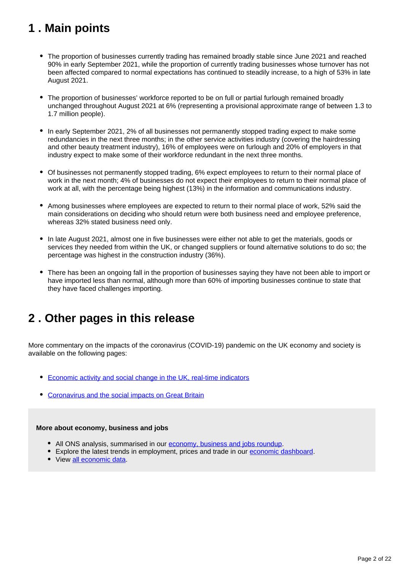## <span id="page-1-0"></span>**1 . Main points**

- The proportion of businesses currently trading has remained broadly stable since June 2021 and reached 90% in early September 2021, while the proportion of currently trading businesses whose turnover has not been affected compared to normal expectations has continued to steadily increase, to a high of 53% in late August 2021.
- The proportion of businesses' workforce reported to be on full or partial furlough remained broadly unchanged throughout August 2021 at 6% (representing a provisional approximate range of between 1.3 to 1.7 million people).
- In early September 2021, 2% of all businesses not permanently stopped trading expect to make some redundancies in the next three months; in the other service activities industry (covering the hairdressing and other beauty treatment industry), 16% of employees were on furlough and 20% of employers in that industry expect to make some of their workforce redundant in the next three months.
- Of businesses not permanently stopped trading, 6% expect employees to return to their normal place of work in the next month; 4% of businesses do not expect their employees to return to their normal place of work at all, with the percentage being highest (13%) in the information and communications industry.
- Among businesses where employees are expected to return to their normal place of work, 52% said the main considerations on deciding who should return were both business need and employee preference, whereas 32% stated business need only.
- In late August 2021, almost one in five businesses were either not able to get the materials, goods or services they needed from within the UK, or changed suppliers or found alternative solutions to do so; the percentage was highest in the construction industry (36%).
- There has been an ongoing fall in the proportion of businesses saying they have not been able to import or have imported less than normal, although more than 60% of importing businesses continue to state that they have faced challenges importing.

## <span id="page-1-1"></span>**2 . Other pages in this release**

More commentary on the impacts of the coronavirus (COVID-19) pandemic on the UK economy and society is available on the following pages:

- [Economic activity and social change in the UK, real-time indicators](https://www.ons.gov.uk/economy/economicoutputandproductivity/output/bulletins/economicactivityandsocialchangeintheukrealtimeindicators/latest)
- [Coronavirus and the social impacts on Great Britain](https://www.ons.gov.uk/peoplepopulationandcommunity/healthandsocialcare/healthandwellbeing/bulletins/coronavirusandthesocialimpactsongreatbritain/latest)

#### **More about economy, business and jobs**

- All ONS analysis, summarised in our [economy, business and jobs roundup.](https://www.ons.gov.uk/economy/economicoutputandproductivity/output/articles/ukeconomylatest/2021-01-25)
- Explore the latest trends in employment, prices and trade in our [economic dashboard.](https://www.ons.gov.uk/economy/nationalaccounts/articles/dashboardunderstandingtheukeconomy/2017-02-22)
- View [all economic data](https://www.ons.gov.uk/economy/datalist?filter=datasets).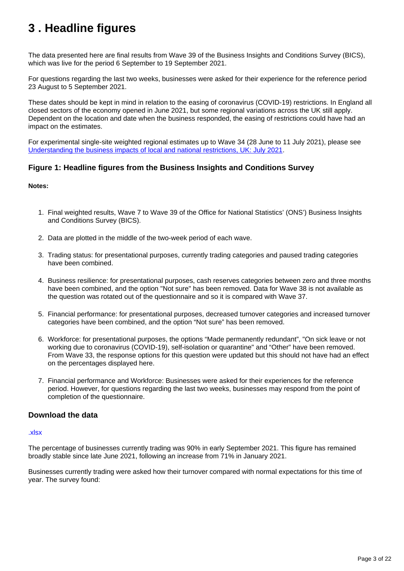## <span id="page-2-0"></span>**3 . Headline figures**

The data presented here are final results from Wave 39 of the Business Insights and Conditions Survey (BICS), which was live for the period 6 September to 19 September 2021.

For questions regarding the last two weeks, businesses were asked for their experience for the reference period 23 August to 5 September 2021.

These dates should be kept in mind in relation to the easing of coronavirus (COVID-19) restrictions. In England all closed sectors of the economy opened in June 2021, but some regional variations across the UK still apply. Dependent on the location and date when the business responded, the easing of restrictions could have had an impact on the estimates.

For experimental single-site weighted regional estimates up to Wave 34 (28 June to 11 July 2021), please see [Understanding the business impacts of local and national restrictions, UK: July 2021.](https://www.ons.gov.uk/businessindustryandtrade/business/businessservices/articles/businessinsightsandimpactontheukandsubnationaleconomy/july2021)

#### **Figure 1: Headline figures from the Business Insights and Conditions Survey**

#### **Notes:**

- 1. Final weighted results, Wave 7 to Wave 39 of the Office for National Statistics' (ONS') Business Insights and Conditions Survey (BICS).
- 2. Data are plotted in the middle of the two-week period of each wave.
- 3. Trading status: for presentational purposes, currently trading categories and paused trading categories have been combined.
- 4. Business resilience: for presentational purposes, cash reserves categories between zero and three months have been combined, and the option "Not sure" has been removed. Data for Wave 38 is not available as the question was rotated out of the questionnaire and so it is compared with Wave 37.
- 5. Financial performance: for presentational purposes, decreased turnover categories and increased turnover categories have been combined, and the option "Not sure" has been removed.
- 6. Workforce: for presentational purposes, the options "Made permanently redundant", "On sick leave or not working due to coronavirus (COVID-19), self-isolation or quarantine" and "Other" have been removed. From Wave 33, the response options for this question were updated but this should not have had an effect on the percentages displayed here.
- 7. Financial performance and Workforce: Businesses were asked for their experiences for the reference period. However, for questions regarding the last two weeks, businesses may respond from the point of completion of the questionnaire.

#### **Download the data**

#### [.xlsx](https://www.ons.gov.uk/visualisations/dvc1587/dashboard/datadownload.xlsx)

The percentage of businesses currently trading was 90% in early September 2021. This figure has remained broadly stable since late June 2021, following an increase from 71% in January 2021.

Businesses currently trading were asked how their turnover compared with normal expectations for this time of year. The survey found: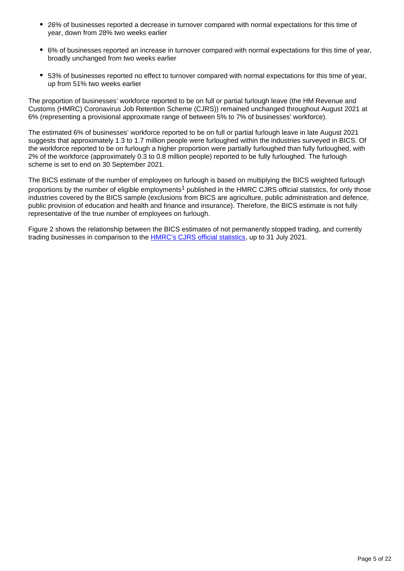- 26% of businesses reported a decrease in turnover compared with normal expectations for this time of year, down from 28% two weeks earlier
- 6% of businesses reported an increase in turnover compared with normal expectations for this time of year, broadly unchanged from two weeks earlier
- 53% of businesses reported no effect to turnover compared with normal expectations for this time of year, up from 51% two weeks earlier

The proportion of businesses' workforce reported to be on full or partial furlough leave (the HM Revenue and Customs (HMRC) Coronavirus Job Retention Scheme (CJRS)) remained unchanged throughout August 2021 at 6% (representing a provisional approximate range of between 5% to 7% of businesses' workforce).

The estimated 6% of businesses' workforce reported to be on full or partial furlough leave in late August 2021 suggests that approximately 1.3 to 1.7 million people were furloughed within the industries surveyed in BICS. Of the workforce reported to be on furlough a higher proportion were partially furloughed than fully furloughed, with 2% of the workforce (approximately 0.3 to 0.8 million people) reported to be fully furloughed. The furlough scheme is set to end on 30 September 2021.

The BICS estimate of the number of employees on furlough is based on multiplying the BICS weighted furlough proportions by the number of eligible employments<sup>1</sup> published in the HMRC CJRS official statistics, for only those industries covered by the BICS sample (exclusions from BICS are agriculture, public administration and defence, public provision of education and health and finance and insurance). Therefore, the BICS estimate is not fully representative of the true number of employees on furlough.

Figure 2 shows the relationship between the BICS estimates of not permanently stopped trading, and currently trading businesses in comparison to the [HMRC's CJRS official statistics,](https://www.gov.uk/government/collections/hmrc-coronavirus-covid-19-statistics) up to 31 July 2021.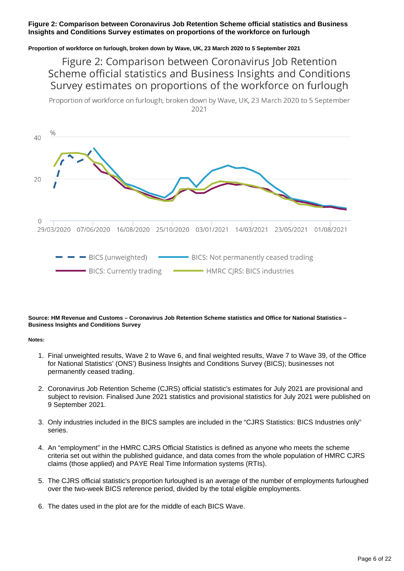#### **Figure 2: Comparison between Coronavirus Job Retention Scheme official statistics and Business Insights and Conditions Survey estimates on proportions of the workforce on furlough**

#### **Proportion of workforce on furlough, broken down by Wave, UK, 23 March 2020 to 5 September 2021**

Figure 2: Comparison between Coronavirus Job Retention Scheme official statistics and Business Insights and Conditions Survey estimates on proportions of the workforce on furlough

Proportion of workforce on furlough, broken down by Wave, UK, 23 March 2020 to 5 September 2021



#### **Source: HM Revenue and Customs – Coronavirus Job Retention Scheme statistics and Office for National Statistics – Business Insights and Conditions Survey**

- 1. Final unweighted results, Wave 2 to Wave 6, and final weighted results, Wave 7 to Wave 39, of the Office for National Statistics' (ONS') Business Insights and Conditions Survey (BICS); businesses not permanently ceased trading.
- 2. Coronavirus Job Retention Scheme (CJRS) official statistic's estimates for July 2021 are provisional and subject to revision. Finalised June 2021 statistics and provisional statistics for July 2021 were published on 9 September 2021.
- 3. Only industries included in the BICS samples are included in the "CJRS Statistics: BICS Industries only" series.
- 4. An "employment" in the HMRC CJRS Official Statistics is defined as anyone who meets the scheme criteria set out within the published guidance, and data comes from the whole population of HMRC CJRS claims (those applied) and PAYE Real Time Information systems (RTIs).
- 5. The CJRS official statistic's proportion furloughed is an average of the number of employments furloughed over the two-week BICS reference period, divided by the total eligible employments.
- 6. The dates used in the plot are for the middle of each BICS Wave.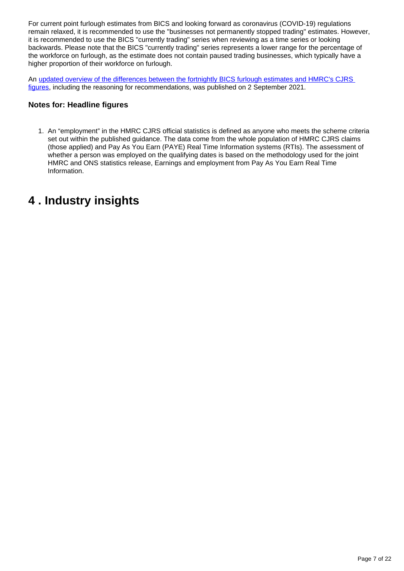For current point furlough estimates from BICS and looking forward as coronavirus (COVID-19) regulations remain relaxed, it is recommended to use the "businesses not permanently stopped trading" estimates. However, it is recommended to use the BICS "currently trading" series when reviewing as a time series or looking backwards. Please note that the BICS "currently trading" series represents a lower range for the percentage of the workforce on furlough, as the estimate does not contain paused trading businesses, which typically have a higher proportion of their workforce on furlough.

An [updated overview of the differences between the fortnightly BICS furlough estimates and HMRC's CJRS](https://www.ons.gov.uk/businessindustryandtrade/business/businessservices/articles/comparisonoffurloughedjobsdata/march2020tojune2021)  [figures](https://www.ons.gov.uk/businessindustryandtrade/business/businessservices/articles/comparisonoffurloughedjobsdata/march2020tojune2021), including the reasoning for recommendations, was published on 2 September 2021.

#### **Notes for: Headline figures**

1. An "employment" in the HMRC CJRS official statistics is defined as anyone who meets the scheme criteria set out within the published guidance. The data come from the whole population of HMRC CJRS claims (those applied) and Pay As You Earn (PAYE) Real Time Information systems (RTIs). The assessment of whether a person was employed on the qualifying dates is based on the methodology used for the joint HMRC and ONS statistics release, Earnings and employment from Pay As You Earn Real Time Information.

## <span id="page-6-0"></span>**4 . Industry insights**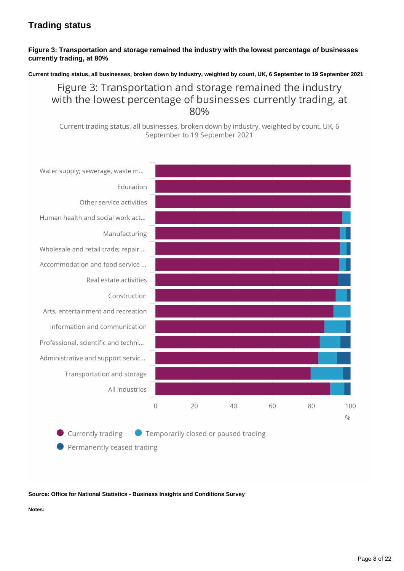### **Trading status**

#### **Figure 3: Transportation and storage remained the industry with the lowest percentage of businesses currently trading, at 80%**

**Current trading status, all businesses, broken down by industry, weighted by count, UK, 6 September to 19 September 2021**

Figure 3: Transportation and storage remained the industry with the lowest percentage of businesses currently trading, at 80%

Current trading status, all businesses, broken down by industry, weighted by count, UK, 6 September to 19 September 2021



Currently trading ● Temporarily closed or paused trading

Permanently ceased trading

#### **Source: Office for National Statistics - Business Insights and Conditions Survey**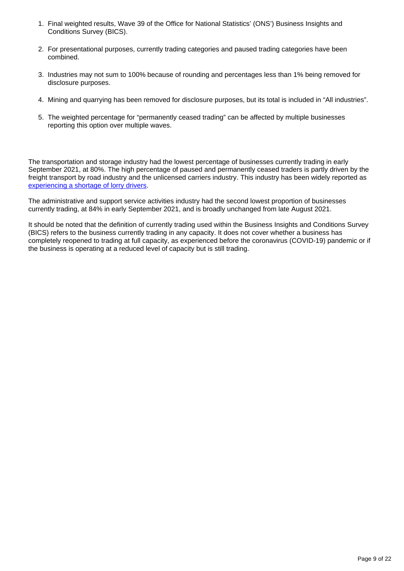- 1. Final weighted results, Wave 39 of the Office for National Statistics' (ONS') Business Insights and Conditions Survey (BICS).
- 2. For presentational purposes, currently trading categories and paused trading categories have been combined.
- 3. Industries may not sum to 100% because of rounding and percentages less than 1% being removed for disclosure purposes.
- 4. Mining and quarrying has been removed for disclosure purposes, but its total is included in "All industries".
- 5. The weighted percentage for "permanently ceased trading" can be affected by multiple businesses reporting this option over multiple waves.

The transportation and storage industry had the lowest percentage of businesses currently trading in early September 2021, at 80%. The high percentage of paused and permanently ceased traders is partly driven by the freight transport by road industry and the unlicensed carriers industry. This industry has been widely reported as [experiencing a shortage of lorry drivers](https://www.bbc.co.uk/news/57810729#:~:text=%22The%20main%20reasons%20for%20the,and%20business%20services%20group%2C%20DWF.).

The administrative and support service activities industry had the second lowest proportion of businesses currently trading, at 84% in early September 2021, and is broadly unchanged from late August 2021.

It should be noted that the definition of currently trading used within the Business Insights and Conditions Survey (BICS) refers to the business currently trading in any capacity. It does not cover whether a business has completely reopened to trading at full capacity, as experienced before the coronavirus (COVID-19) pandemic or if the business is operating at a reduced level of capacity but is still trading.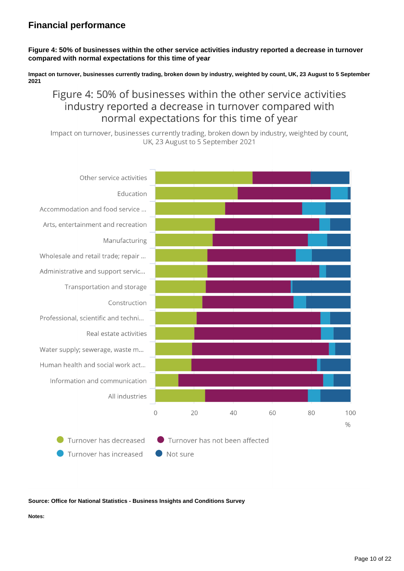### **Financial performance**

#### **Figure 4: 50% of businesses within the other service activities industry reported a decrease in turnover compared with normal expectations for this time of year**

**Impact on turnover, businesses currently trading, broken down by industry, weighted by count, UK, 23 August to 5 September 2021**

### Figure 4: 50% of businesses within the other service activities industry reported a decrease in turnover compared with normal expectations for this time of year

Impact on turnover, businesses currently trading, broken down by industry, weighted by count, UK, 23 August to 5 September 2021



#### **Source: Office for National Statistics - Business Insights and Conditions Survey**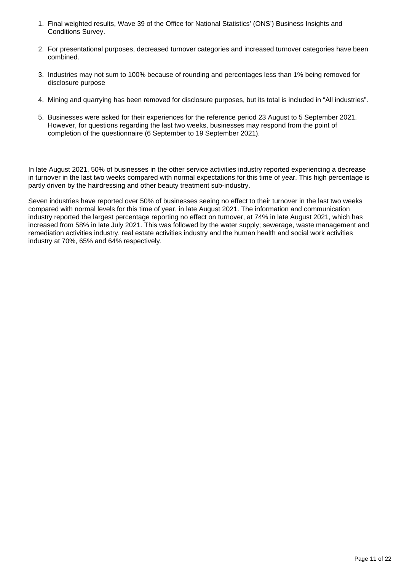- 1. Final weighted results, Wave 39 of the Office for National Statistics' (ONS') Business Insights and Conditions Survey.
- 2. For presentational purposes, decreased turnover categories and increased turnover categories have been combined.
- 3. Industries may not sum to 100% because of rounding and percentages less than 1% being removed for disclosure purpose
- 4. Mining and quarrying has been removed for disclosure purposes, but its total is included in "All industries".
- 5. Businesses were asked for their experiences for the reference period 23 August to 5 September 2021. However, for questions regarding the last two weeks, businesses may respond from the point of completion of the questionnaire (6 September to 19 September 2021).

In late August 2021, 50% of businesses in the other service activities industry reported experiencing a decrease in turnover in the last two weeks compared with normal expectations for this time of year. This high percentage is partly driven by the hairdressing and other beauty treatment sub-industry.

Seven industries have reported over 50% of businesses seeing no effect to their turnover in the last two weeks compared with normal levels for this time of year, in late August 2021. The information and communication industry reported the largest percentage reporting no effect on turnover, at 74% in late August 2021, which has increased from 58% in late July 2021. This was followed by the water supply; sewerage, waste management and remediation activities industry, real estate activities industry and the human health and social work activities industry at 70%, 65% and 64% respectively.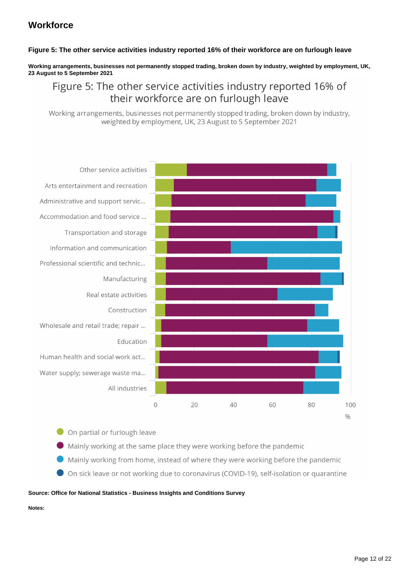### **Workforce**

#### **Figure 5: The other service activities industry reported 16% of their workforce are on furlough leave**

#### **Working arrangements, businesses not permanently stopped trading, broken down by industry, weighted by employment, UK, 23 August to 5 September 2021**

### Figure 5: The other service activities industry reported 16% of their workforce are on furlough leave

Working arrangements, businesses not permanently stopped trading, broken down by industry, weighted by employment, UK, 23 August to 5 September 2021



On partial or furlough leave

- Mainly working at the same place they were working before the pandemic
- Mainly working from home, instead of where they were working before the pandemic
- On sick leave or not working due to coronavirus (COVID-19), self-isolation or quarantine

#### **Source: Office for National Statistics - Business Insights and Conditions Survey**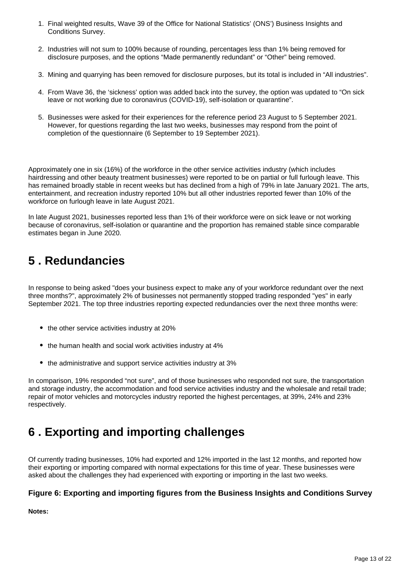- 1. Final weighted results, Wave 39 of the Office for National Statistics' (ONS') Business Insights and Conditions Survey.
- 2. Industries will not sum to 100% because of rounding, percentages less than 1% being removed for disclosure purposes, and the options "Made permanently redundant" or "Other" being removed.
- 3. Mining and quarrying has been removed for disclosure purposes, but its total is included in "All industries".
- 4. From Wave 36, the 'sickness' option was added back into the survey, the option was updated to "On sick leave or not working due to coronavirus (COVID-19), self-isolation or quarantine".
- 5. Businesses were asked for their experiences for the reference period 23 August to 5 September 2021. However, for questions regarding the last two weeks, businesses may respond from the point of completion of the questionnaire (6 September to 19 September 2021).

Approximately one in six (16%) of the workforce in the other service activities industry (which includes hairdressing and other beauty treatment businesses) were reported to be on partial or full furlough leave. This has remained broadly stable in recent weeks but has declined from a high of 79% in late January 2021. The arts, entertainment, and recreation industry reported 10% but all other industries reported fewer than 10% of the workforce on furlough leave in late August 2021.

In late August 2021, businesses reported less than 1% of their workforce were on sick leave or not working because of coronavirus, self-isolation or quarantine and the proportion has remained stable since comparable estimates began in June 2020.

## <span id="page-12-0"></span>**5 . Redundancies**

In response to being asked "does your business expect to make any of your workforce redundant over the next three months?", approximately 2% of businesses not permanently stopped trading responded "yes" in early September 2021. The top three industries reporting expected redundancies over the next three months were:

- the other service activities industry at 20%
- the human health and social work activities industry at 4%
- the administrative and support service activities industry at 3%

In comparison, 19% responded "not sure", and of those businesses who responded not sure, the transportation and storage industry, the accommodation and food service activities industry and the wholesale and retail trade; repair of motor vehicles and motorcycles industry reported the highest percentages, at 39%, 24% and 23% respectively.

## <span id="page-12-1"></span>**6 . Exporting and importing challenges**

Of currently trading businesses, 10% had exported and 12% imported in the last 12 months, and reported how their exporting or importing compared with normal expectations for this time of year. These businesses were asked about the challenges they had experienced with exporting or importing in the last two weeks.

#### **Figure 6: Exporting and importing figures from the Business Insights and Conditions Survey**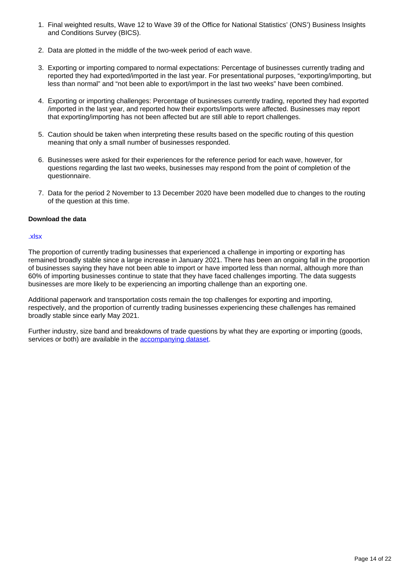- 1. Final weighted results, Wave 12 to Wave 39 of the Office for National Statistics' (ONS') Business Insights and Conditions Survey (BICS).
- 2. Data are plotted in the middle of the two-week period of each wave.
- 3. Exporting or importing compared to normal expectations: Percentage of businesses currently trading and reported they had exported/imported in the last year. For presentational purposes, "exporting/importing, but less than normal" and "not been able to export/import in the last two weeks" have been combined.
- 4. Exporting or importing challenges: Percentage of businesses currently trading, reported they had exported /imported in the last year, and reported how their exports/imports were affected. Businesses may report that exporting/importing has not been affected but are still able to report challenges.
- 5. Caution should be taken when interpreting these results based on the specific routing of this question meaning that only a small number of businesses responded.
- 6. Businesses were asked for their experiences for the reference period for each wave, however, for questions regarding the last two weeks, businesses may respond from the point of completion of the questionnaire.
- 7. Data for the period 2 November to 13 December 2020 have been modelled due to changes to the routing of the question at this time.

#### **Download the data**

#### [.xlsx](https://www.ons.gov.uk/visualisations/dvc1587/trade/datadownload.xlsx)

The proportion of currently trading businesses that experienced a challenge in importing or exporting has remained broadly stable since a large increase in January 2021. There has been an ongoing fall in the proportion of businesses saying they have not been able to import or have imported less than normal, although more than 60% of importing businesses continue to state that they have faced challenges importing. The data suggests businesses are more likely to be experiencing an importing challenge than an exporting one.

Additional paperwork and transportation costs remain the top challenges for exporting and importing, respectively, and the proportion of currently trading businesses experiencing these challenges has remained broadly stable since early May 2021.

Further industry, size band and breakdowns of trade questions by what they are exporting or importing (goods, services or both) are available in the [accompanying dataset.](https://www.ons.gov.uk/economy/economicoutputandproductivity/output/datasets/businessinsightsandimpactontheukeconomy)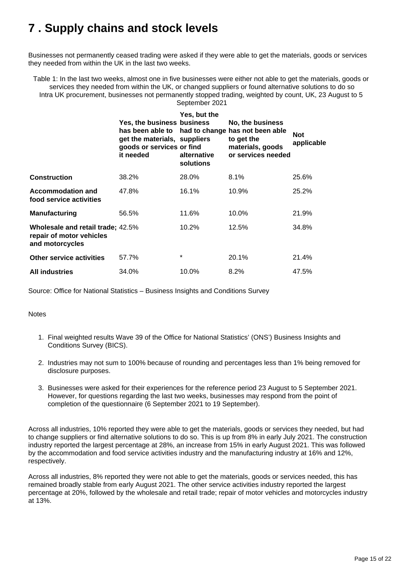## <span id="page-14-0"></span>**7 . Supply chains and stock levels**

Businesses not permanently ceased trading were asked if they were able to get the materials, goods or services they needed from within the UK in the last two weeks.

Table 1: In the last two weeks, almost one in five businesses were either not able to get the materials, goods or services they needed from within the UK, or changed suppliers or found alternative solutions to do so Intra UK procurement, businesses not permanently stopped trading, weighted by count, UK, 23 August to 5 September 2021

|                                                                                  | <b>Yes, the business business</b><br>get the materials, suppliers<br>goods or services or find<br>it needed | Yes, but the<br>alternative<br>solutions | No, the business<br>has been able to had to change has not been able<br>to get the<br>materials, goods<br>or services needed | <b>Not</b><br>applicable |
|----------------------------------------------------------------------------------|-------------------------------------------------------------------------------------------------------------|------------------------------------------|------------------------------------------------------------------------------------------------------------------------------|--------------------------|
| <b>Construction</b>                                                              | 38.2%                                                                                                       | 28.0%                                    | $8.1\%$                                                                                                                      | 25.6%                    |
| Accommodation and<br>food service activities                                     | 47.8%                                                                                                       | 16.1%                                    | 10.9%                                                                                                                        | 25.2%                    |
| Manufacturing                                                                    | 56.5%                                                                                                       | 11.6%                                    | $10.0\%$                                                                                                                     | 21.9%                    |
| Wholesale and retail trade; 42.5%<br>repair of motor vehicles<br>and motorcycles |                                                                                                             | 10.2%                                    | 12.5%                                                                                                                        | 34.8%                    |
| <b>Other service activities</b>                                                  | 57.7%                                                                                                       | $\star$                                  | 20.1%                                                                                                                        | 21.4%                    |
| <b>All industries</b>                                                            | 34.0%                                                                                                       | 10.0%                                    | 8.2%                                                                                                                         | 47.5%                    |

Source: Office for National Statistics – Business Insights and Conditions Survey

**Notes** 

- 1. Final weighted results Wave 39 of the Office for National Statistics' (ONS') Business Insights and Conditions Survey (BICS).
- 2. Industries may not sum to 100% because of rounding and percentages less than 1% being removed for disclosure purposes.
- 3. Businesses were asked for their experiences for the reference period 23 August to 5 September 2021. However, for questions regarding the last two weeks, businesses may respond from the point of completion of the questionnaire (6 September 2021 to 19 September).

Across all industries, 10% reported they were able to get the materials, goods or services they needed, but had to change suppliers or find alternative solutions to do so. This is up from 8% in early July 2021. The construction industry reported the largest percentage at 28%, an increase from 15% in early August 2021. This was followed by the accommodation and food service activities industry and the manufacturing industry at 16% and 12%, respectively.

Across all industries, 8% reported they were not able to get the materials, goods or services needed, this has remained broadly stable from early August 2021. The other service activities industry reported the largest percentage at 20%, followed by the wholesale and retail trade; repair of motor vehicles and motorcycles industry at 13%.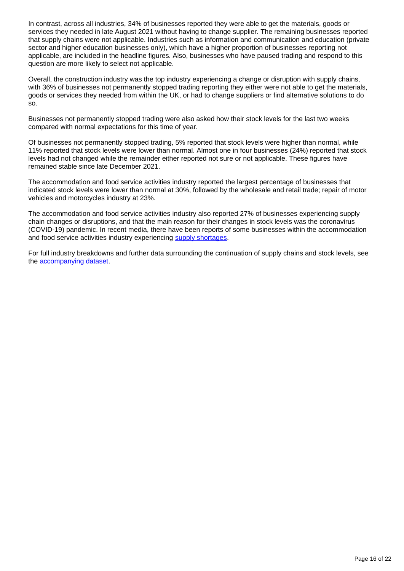In contrast, across all industries, 34% of businesses reported they were able to get the materials, goods or services they needed in late August 2021 without having to change supplier. The remaining businesses reported that supply chains were not applicable. Industries such as information and communication and education (private sector and higher education businesses only), which have a higher proportion of businesses reporting not applicable, are included in the headline figures. Also, businesses who have paused trading and respond to this question are more likely to select not applicable.

Overall, the construction industry was the top industry experiencing a change or disruption with supply chains, with 36% of businesses not permanently stopped trading reporting they either were not able to get the materials, goods or services they needed from within the UK, or had to change suppliers or find alternative solutions to do so.

Businesses not permanently stopped trading were also asked how their stock levels for the last two weeks compared with normal expectations for this time of year.

Of businesses not permanently stopped trading, 5% reported that stock levels were higher than normal, while 11% reported that stock levels were lower than normal. Almost one in four businesses (24%) reported that stock levels had not changed while the remainder either reported not sure or not applicable. These figures have remained stable since late December 2021.

The accommodation and food service activities industry reported the largest percentage of businesses that indicated stock levels were lower than normal at 30%, followed by the wholesale and retail trade; repair of motor vehicles and motorcycles industry at 23%.

The accommodation and food service activities industry also reported 27% of businesses experiencing supply chain changes or disruptions, and that the main reason for their changes in stock levels was the coronavirus (COVID-19) pandemic. In recent media, there have been reports of some businesses within the accommodation and food service activities industry experiencing [supply shortages.](https://www.bbc.co.uk/news/57810729)

For full industry breakdowns and further data surrounding the continuation of supply chains and stock levels, see the [accompanying dataset.](https://www.ons.gov.uk/economy/economicoutputandproductivity/output/datasets/businessinsightsandimpactontheukeconomy)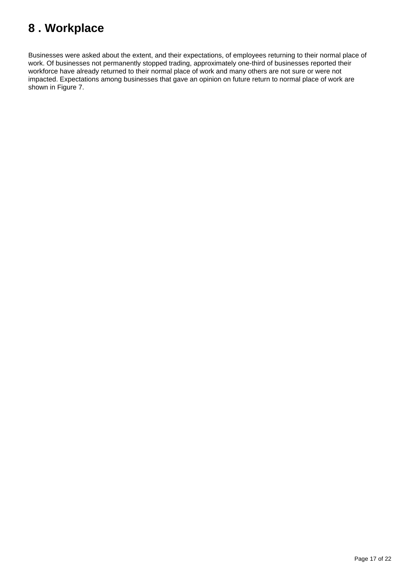## <span id="page-16-0"></span>**8 . Workplace**

Businesses were asked about the extent, and their expectations, of employees returning to their normal place of work. Of businesses not permanently stopped trading, approximately one-third of businesses reported their workforce have already returned to their normal place of work and many others are not sure or were not impacted. Expectations among businesses that gave an opinion on future return to normal place of work are shown in Figure 7.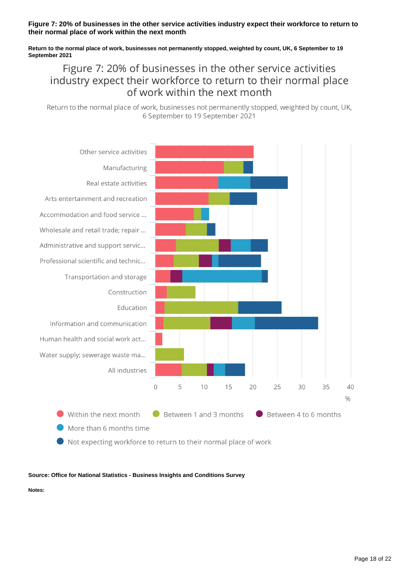#### **Figure 7: 20% of businesses in the other service activities industry expect their workforce to return to their normal place of work within the next month**

#### **Return to the normal place of work, businesses not permanently stopped, weighted by count, UK, 6 September to 19 September 2021**

### Figure 7: 20% of businesses in the other service activities industry expect their workforce to return to their normal place of work within the next month

Return to the normal place of work, businesses not permanently stopped, weighted by count, UK, 6 September to 19 September 2021



Not expecting workforce to return to their normal place of work

**Source: Office for National Statistics - Business Insights and Conditions Survey**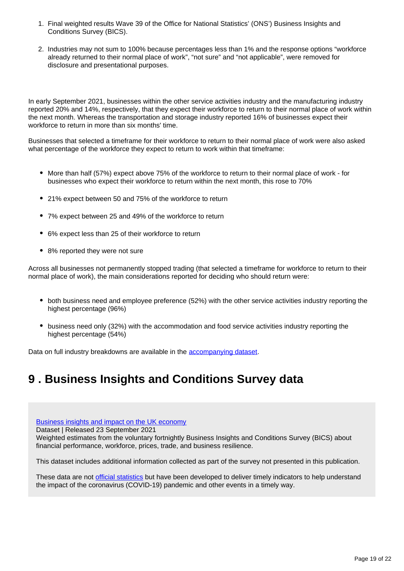- 1. Final weighted results Wave 39 of the Office for National Statistics' (ONS') Business Insights and Conditions Survey (BICS).
- 2. Industries may not sum to 100% because percentages less than 1% and the response options "workforce already returned to their normal place of work", "not sure" and "not applicable", were removed for disclosure and presentational purposes.

In early September 2021, businesses within the other service activities industry and the manufacturing industry reported 20% and 14%, respectively, that they expect their workforce to return to their normal place of work within the next month. Whereas the transportation and storage industry reported 16% of businesses expect their workforce to return in more than six months' time.

Businesses that selected a timeframe for their workforce to return to their normal place of work were also asked what percentage of the workforce they expect to return to work within that timeframe:

- More than half (57%) expect above 75% of the workforce to return to their normal place of work for businesses who expect their workforce to return within the next month, this rose to 70%
- 21% expect between 50 and 75% of the workforce to return
- 7% expect between 25 and 49% of the workforce to return
- 6% expect less than 25 of their workforce to return
- 8% reported they were not sure

Across all businesses not permanently stopped trading (that selected a timeframe for workforce to return to their normal place of work), the main considerations reported for deciding who should return were:

- both business need and employee preference (52%) with the other service activities industry reporting the highest percentage (96%)
- business need only (32%) with the accommodation and food service activities industry reporting the highest percentage (54%)

Data on full industry breakdowns are available in the [accompanying dataset](https://www.ons.gov.uk/economy/economicoutputandproductivity/output/datasets/businessinsightsandimpactontheukeconomy).

## <span id="page-18-0"></span>**9 . Business Insights and Conditions Survey data**

[Business insights and impact on the UK economy](https://www.ons.gov.uk/economy/economicoutputandproductivity/output/datasets/businessinsightsandimpactontheukeconomy)

Dataset | Released 23 September 2021

Weighted estimates from the voluntary fortnightly Business Insights and Conditions Survey (BICS) about financial performance, workforce, prices, trade, and business resilience.

This dataset includes additional information collected as part of the survey not presented in this publication.

These data are not [official statistics](https://uksa.statisticsauthority.gov.uk/about-the-authority/what-we-do/uk-statistical-system/types-of-official-statistics/) but have been developed to deliver timely indicators to help understand the impact of the coronavirus (COVID-19) pandemic and other events in a timely way.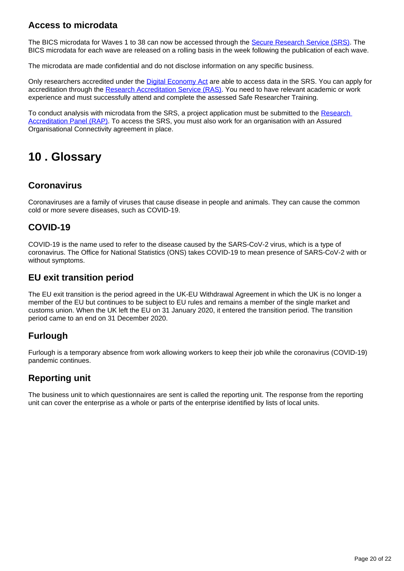### **Access to microdata**

The BICS microdata for Waves 1 to 38 can now be accessed through the [Secure Research Service \(SRS\).](https://www.ons.gov.uk/aboutus/whatwedo/statistics/requestingstatistics/approvedresearcherscheme) The BICS microdata for each wave are released on a rolling basis in the week following the publication of each wave.

The microdata are made confidential and do not disclose information on any specific business.

Only researchers accredited under the [Digital Economy Act](https://uksa.statisticsauthority.gov.uk/about-the-authority/better-useofdata-statistics-and-research/) are able to access data in the SRS. You can apply for accreditation through the [Research Accreditation Service \(RAS\)](https://researchaccreditationservice.ons.gov.uk/ons/ONS_registration.ofml). You need to have relevant academic or work experience and must successfully attend and complete the assessed Safe Researcher Training.

To conduct analysis with microdata from the SRS, a project application must be submitted to the Research [Accreditation Panel \(RAP\).](https://uksa.statisticsauthority.gov.uk/digitaleconomyact-research-statistics/research-accreditation-panel/) To access the SRS, you must also work for an organisation with an Assured Organisational Connectivity agreement in place.

## <span id="page-19-0"></span>**10 . Glossary**

### **Coronavirus**

Coronaviruses are a family of viruses that cause disease in people and animals. They can cause the common cold or more severe diseases, such as COVID-19.

### **COVID-19**

COVID-19 is the name used to refer to the disease caused by the SARS-CoV-2 virus, which is a type of coronavirus. The Office for National Statistics (ONS) takes COVID-19 to mean presence of SARS-CoV-2 with or without symptoms.

### **EU exit transition period**

The EU exit transition is the period agreed in the UK-EU Withdrawal Agreement in which the UK is no longer a member of the EU but continues to be subject to EU rules and remains a member of the single market and customs union. When the UK left the EU on 31 January 2020, it entered the transition period. The transition period came to an end on 31 December 2020.

### **Furlough**

Furlough is a temporary absence from work allowing workers to keep their job while the coronavirus (COVID-19) pandemic continues.

### **Reporting unit**

The business unit to which questionnaires are sent is called the reporting unit. The response from the reporting unit can cover the enterprise as a whole or parts of the enterprise identified by lists of local units.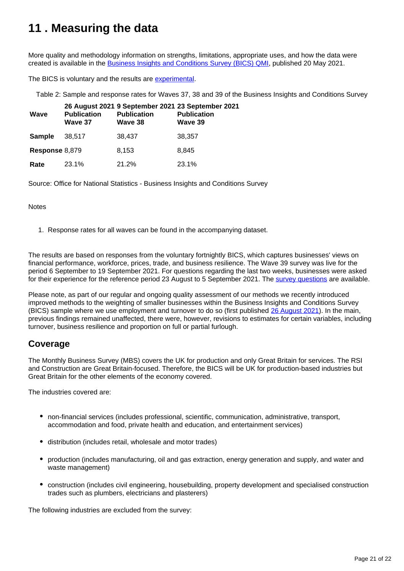## <span id="page-20-0"></span>**11 . Measuring the data**

More quality and methodology information on strengths, limitations, appropriate uses, and how the data were created is available in the [Business Insights and Conditions Survey \(BICS\) QMI](https://www.ons.gov.uk/economy/economicoutputandproductivity/output/methodologies/businessinsightsandconditionssurveybicsqmi), published 20 May 2021.

The BICS is voluntary and the results are [experimental](https://www.ons.gov.uk/methodology/methodologytopicsandstatisticalconcepts/guidetoexperimentalstatistics).

Table 2: Sample and response rates for Waves 37, 38 and 39 of the Business Insights and Conditions Survey

| Wave           | <b>Publication</b><br>Wave 37 | <b>Publication</b><br>Wave 38 | 26 August 2021 9 September 2021 23 September 2021<br><b>Publication</b><br>Wave 39 |
|----------------|-------------------------------|-------------------------------|------------------------------------------------------------------------------------|
| <b>Sample</b>  | 38.517                        | 38,437                        | 38.357                                                                             |
| Response 8,879 |                               | 8,153                         | 8.845                                                                              |
| Rate           | 23.1%                         | 21.2%                         | 23.1%                                                                              |

Source: Office for National Statistics - Business Insights and Conditions Survey

Notes

1. Response rates for all waves can be found in the accompanying dataset.

The results are based on responses from the voluntary fortnightly BICS, which captures businesses' views on financial performance, workforce, prices, trade, and business resilience. The Wave 39 survey was live for the period 6 September to 19 September 2021. For questions regarding the last two weeks, businesses were asked for their experience for the reference period 23 August to 5 September 2021. The [survey questions](https://www.ons.gov.uk/peoplepopulationandcommunity/healthandsocialcare/conditionsanddiseases/articles/businessimpactofcovid19surveyquestions/28june2021to11july2021) are available.

Please note, as part of our regular and ongoing quality assessment of our methods we recently introduced improved methods to the weighting of smaller businesses within the Business Insights and Conditions Survey (BICS) sample where we use employment and turnover to do so (first published [26 August 2021](https://www.ons.gov.uk/businessindustryandtrade/business/businessservices/bulletins/businessinsightsandimpactontheukeconomy/26august2021)). In the main, previous findings remained unaffected, there were, however, revisions to estimates for certain variables, including turnover, business resilience and proportion on full or partial furlough.

### **Coverage**

The Monthly Business Survey (MBS) covers the UK for production and only Great Britain for services. The RSI and Construction are Great Britain-focused. Therefore, the BICS will be UK for production-based industries but Great Britain for the other elements of the economy covered.

The industries covered are:

- non-financial services (includes professional, scientific, communication, administrative, transport, accommodation and food, private health and education, and entertainment services)
- distribution (includes retail, wholesale and motor trades)
- production (includes manufacturing, oil and gas extraction, energy generation and supply, and water and waste management)
- construction (includes civil engineering, housebuilding, property development and specialised construction trades such as plumbers, electricians and plasterers)

The following industries are excluded from the survey: